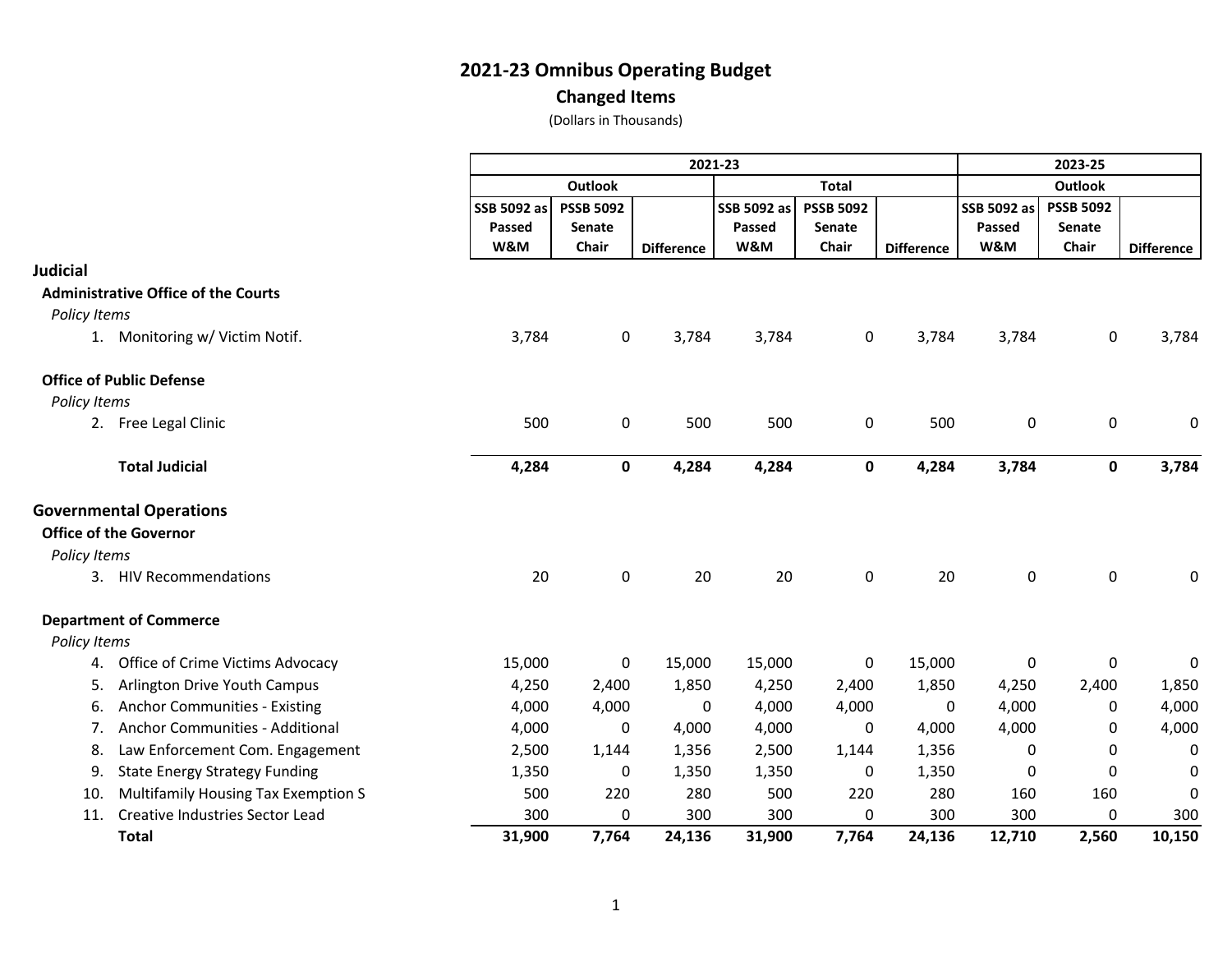**Changed Items**

|                     |                                            |             | 2021-23          |                   |              |                  |                   |                | 2023-25          |                   |  |  |
|---------------------|--------------------------------------------|-------------|------------------|-------------------|--------------|------------------|-------------------|----------------|------------------|-------------------|--|--|
|                     |                                            |             | <b>Outlook</b>   |                   | <b>Total</b> |                  |                   | <b>Outlook</b> |                  |                   |  |  |
|                     |                                            | SSB 5092 as | <b>PSSB 5092</b> |                   | SSB 5092 as  | <b>PSSB 5092</b> |                   | SSB 5092 as    | <b>PSSB 5092</b> |                   |  |  |
|                     |                                            | Passed      | Senate           |                   | Passed       | <b>Senate</b>    |                   | Passed         | Senate           |                   |  |  |
|                     |                                            | W&M         | <b>Chair</b>     | <b>Difference</b> | W&M          | Chair            | <b>Difference</b> | W&M            | Chair            | <b>Difference</b> |  |  |
| <b>Judicial</b>     |                                            |             |                  |                   |              |                  |                   |                |                  |                   |  |  |
|                     | <b>Administrative Office of the Courts</b> |             |                  |                   |              |                  |                   |                |                  |                   |  |  |
| <b>Policy Items</b> |                                            |             |                  |                   |              |                  |                   |                |                  |                   |  |  |
|                     | 1. Monitoring w/ Victim Notif.             | 3,784       | $\mathbf 0$      | 3,784             | 3,784        | $\mathbf 0$      | 3,784             | 3,784          | $\mathbf 0$      | 3,784             |  |  |
|                     | <b>Office of Public Defense</b>            |             |                  |                   |              |                  |                   |                |                  |                   |  |  |
| Policy Items        |                                            |             |                  |                   |              |                  |                   |                |                  |                   |  |  |
|                     | 2. Free Legal Clinic                       | 500         | 0                | 500               | 500          | 0                | 500               | 0              | $\mathbf 0$      | 0                 |  |  |
|                     | <b>Total Judicial</b>                      | 4,284       | 0                | 4,284             | 4,284        | $\bf{0}$         | 4,284             | 3,784          | 0                | 3,784             |  |  |
|                     | <b>Governmental Operations</b>             |             |                  |                   |              |                  |                   |                |                  |                   |  |  |
|                     | <b>Office of the Governor</b>              |             |                  |                   |              |                  |                   |                |                  |                   |  |  |
| Policy Items        |                                            |             |                  |                   |              |                  |                   |                |                  |                   |  |  |
|                     | 3. HIV Recommendations                     | 20          | $\mathbf 0$      | 20                | 20           | $\pmb{0}$        | 20                | 0              | 0                | 0                 |  |  |
|                     | <b>Department of Commerce</b>              |             |                  |                   |              |                  |                   |                |                  |                   |  |  |
| Policy Items        |                                            |             |                  |                   |              |                  |                   |                |                  |                   |  |  |
| 4.                  | Office of Crime Victims Advocacy           | 15,000      | 0                | 15,000            | 15,000       | 0                | 15,000            | 0              | $\mathbf 0$      | 0                 |  |  |
| 5.                  | Arlington Drive Youth Campus               | 4,250       | 2,400            | 1,850             | 4,250        | 2,400            | 1,850             | 4,250          | 2,400            | 1,850             |  |  |
| 6.                  | <b>Anchor Communities - Existing</b>       | 4,000       | 4,000            | 0                 | 4,000        | 4,000            | 0                 | 4,000          | 0                | 4,000             |  |  |
| 7.                  | Anchor Communities - Additional            | 4,000       | 0                | 4,000             | 4,000        | 0                | 4,000             | 4,000          | 0                | 4,000             |  |  |
| 8.                  | Law Enforcement Com. Engagement            | 2,500       | 1,144            | 1,356             | 2,500        | 1,144            | 1,356             | 0              | 0                | 0                 |  |  |
| 9.                  | <b>State Energy Strategy Funding</b>       | 1,350       | 0                | 1,350             | 1,350        | 0                | 1,350             | 0              | 0                | 0                 |  |  |
| 10.                 | Multifamily Housing Tax Exemption S        | 500         | 220              | 280               | 500          | 220              | 280               | 160            | 160              | 0                 |  |  |
| 11.                 | Creative Industries Sector Lead            | 300         | 0                | 300               | 300          | 0                | 300               | 300            | 0                | 300               |  |  |
|                     | <b>Total</b>                               | 31,900      | 7,764            | 24,136            | 31,900       | 7,764            | 24,136            | 12,710         | 2,560            | 10,150            |  |  |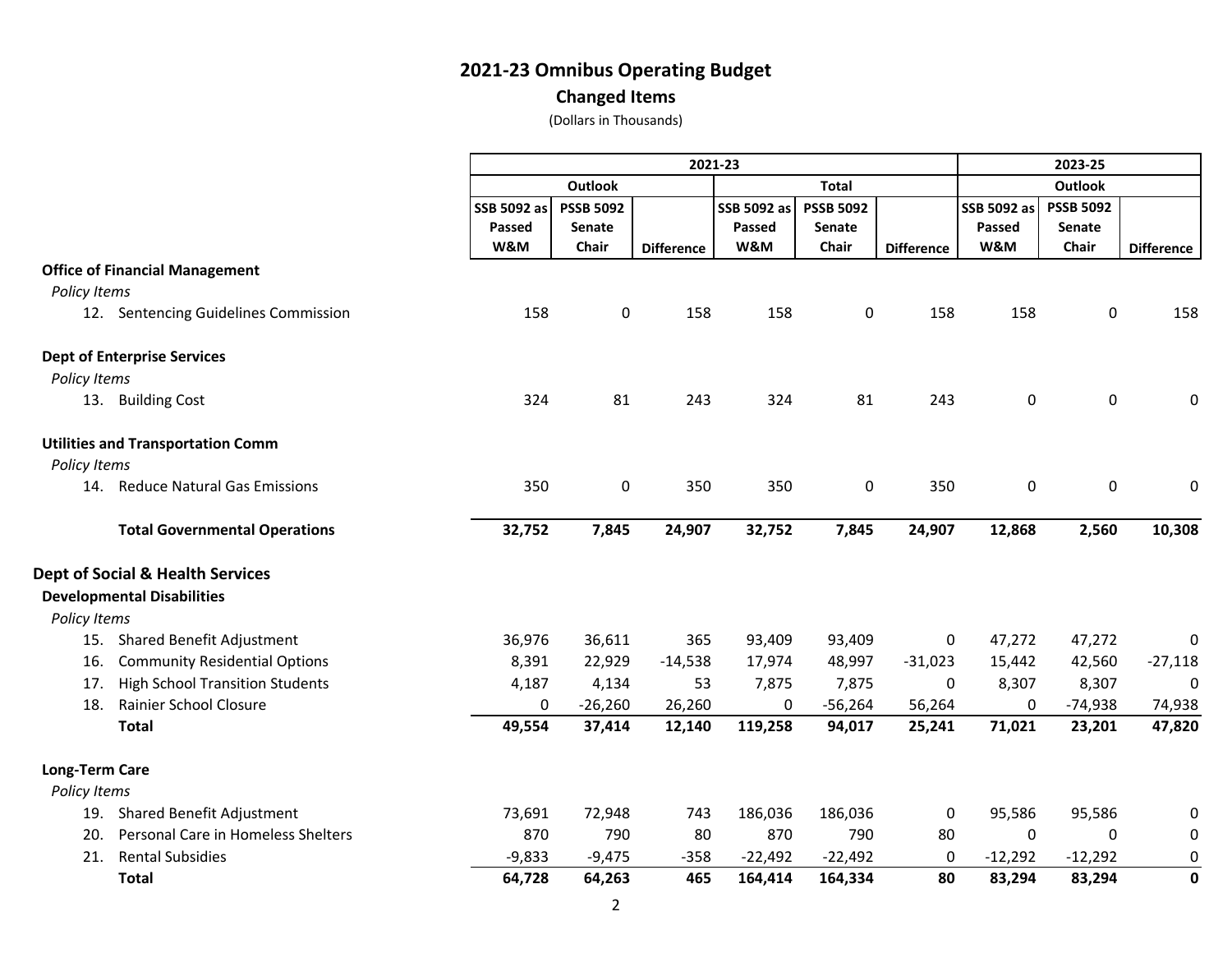#### **Changed Items**

|                       |                                             |                    | 2021-23          |                   |             |                  |                   |                    | 2023-25          |                   |  |  |
|-----------------------|---------------------------------------------|--------------------|------------------|-------------------|-------------|------------------|-------------------|--------------------|------------------|-------------------|--|--|
|                       |                                             |                    | Outlook          |                   |             | <b>Total</b>     |                   |                    | <b>Outlook</b>   |                   |  |  |
|                       |                                             | <b>SSB 5092 as</b> | <b>PSSB 5092</b> |                   | SSB 5092 as | <b>PSSB 5092</b> |                   | <b>SSB 5092 as</b> | <b>PSSB 5092</b> |                   |  |  |
|                       |                                             | <b>Passed</b>      | Senate           |                   | Passed      | Senate           |                   | Passed             | Senate           |                   |  |  |
|                       |                                             | W&M                | Chair            | <b>Difference</b> | W&M         | Chair            | <b>Difference</b> | W&M                | Chair            | <b>Difference</b> |  |  |
|                       | <b>Office of Financial Management</b>       |                    |                  |                   |             |                  |                   |                    |                  |                   |  |  |
| Policy Items          |                                             |                    |                  |                   |             |                  |                   |                    |                  |                   |  |  |
|                       | 12. Sentencing Guidelines Commission        | 158                | 0                | 158               | 158         | $\mathbf 0$      | 158               | 158                | 0                | 158               |  |  |
|                       | <b>Dept of Enterprise Services</b>          |                    |                  |                   |             |                  |                   |                    |                  |                   |  |  |
| Policy Items          |                                             |                    |                  |                   |             |                  |                   |                    |                  |                   |  |  |
|                       | 13. Building Cost                           | 324                | 81               | 243               | 324         | 81               | 243               | 0                  | 0                | 0                 |  |  |
|                       | <b>Utilities and Transportation Comm</b>    |                    |                  |                   |             |                  |                   |                    |                  |                   |  |  |
| Policy Items          |                                             |                    |                  |                   |             |                  |                   |                    |                  |                   |  |  |
|                       | 14. Reduce Natural Gas Emissions            | 350                | 0                | 350               | 350         | $\pmb{0}$        | 350               | 0                  | 0                | 0                 |  |  |
|                       | <b>Total Governmental Operations</b>        | 32,752             | 7,845            | 24,907            | 32,752      | 7,845            | 24,907            | 12,868             | 2,560            | 10,308            |  |  |
|                       | <b>Dept of Social &amp; Health Services</b> |                    |                  |                   |             |                  |                   |                    |                  |                   |  |  |
|                       | <b>Developmental Disabilities</b>           |                    |                  |                   |             |                  |                   |                    |                  |                   |  |  |
| Policy Items          |                                             |                    |                  |                   |             |                  |                   |                    |                  |                   |  |  |
|                       | 15. Shared Benefit Adjustment               | 36,976             | 36,611           | 365               | 93,409      | 93,409           | $\mathbf 0$       | 47,272             | 47,272           | $\mathbf 0$       |  |  |
| 16.                   | <b>Community Residential Options</b>        | 8,391              | 22,929           | $-14,538$         | 17,974      | 48,997           | $-31,023$         | 15,442             | 42,560           | $-27,118$         |  |  |
| 17.                   | <b>High School Transition Students</b>      | 4,187              | 4,134            | 53                | 7,875       | 7,875            | 0                 | 8,307              | 8,307            | $\mathbf 0$       |  |  |
| 18.                   | Rainier School Closure                      | 0                  | $-26,260$        | 26,260            | 0           | $-56,264$        | 56,264            | 0                  | $-74,938$        | 74,938            |  |  |
|                       | <b>Total</b>                                | 49,554             | 37,414           | 12,140            | 119,258     | 94,017           | 25,241            | 71,021             | 23,201           | 47,820            |  |  |
| <b>Long-Term Care</b> |                                             |                    |                  |                   |             |                  |                   |                    |                  |                   |  |  |
| Policy Items          |                                             |                    |                  |                   |             |                  |                   |                    |                  |                   |  |  |
|                       | 19. Shared Benefit Adjustment               | 73,691             | 72,948           | 743               | 186,036     | 186,036          | 0                 | 95,586             | 95,586           | 0                 |  |  |
| 20.                   | Personal Care in Homeless Shelters          | 870                | 790              | 80                | 870         | 790              | 80                | $\Omega$           | 0                | 0                 |  |  |
| 21.                   | <b>Rental Subsidies</b>                     | $-9,833$           | $-9,475$         | $-358$            | $-22,492$   | $-22,492$        | 0                 | $-12,292$          | $-12,292$        | $\mathbf 0$       |  |  |
|                       | <b>Total</b>                                | 64,728             | 64,263           | 465               | 164,414     | 164,334          | 80                | 83,294             | 83,294           | $\mathbf 0$       |  |  |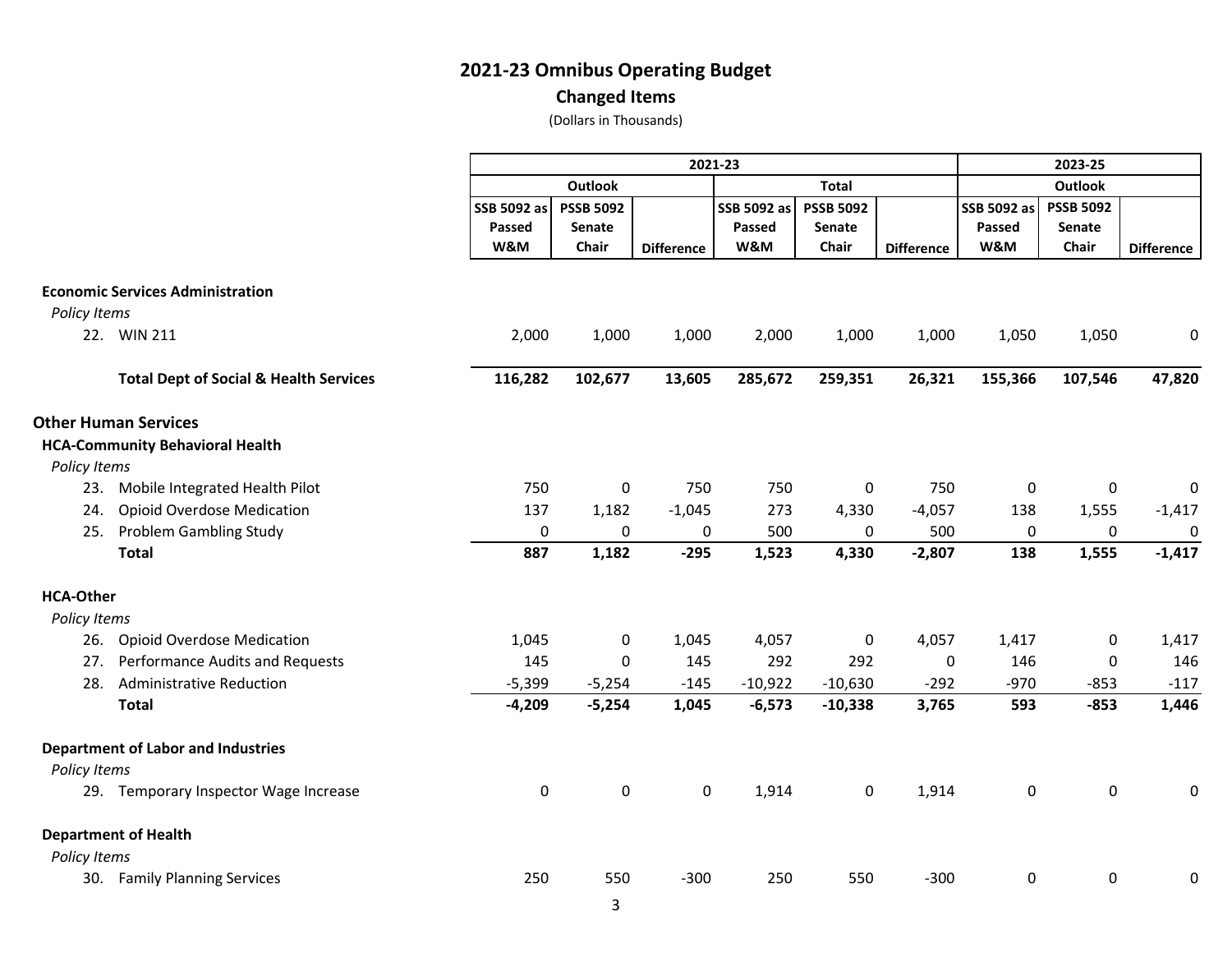#### **Changed Items**

|                  |                                                   | 2021-23     |                          |                   |                       |                                   |                   | 2023-25     |                  |                   |  |
|------------------|---------------------------------------------------|-------------|--------------------------|-------------------|-----------------------|-----------------------------------|-------------------|-------------|------------------|-------------------|--|
|                  |                                                   |             | <b>Outlook</b>           |                   |                       | <b>Total</b>                      |                   |             | <b>Outlook</b>   |                   |  |
|                  |                                                   | SSB 5092 as | <b>PSSB 5092</b>         |                   | SSB 5092 as<br>Passed | <b>PSSB 5092</b><br><b>Senate</b> |                   | SSB 5092 as | <b>PSSB 5092</b> |                   |  |
|                  |                                                   | Passed      | <b>Senate</b>            |                   |                       |                                   |                   | Passed      | Senate           |                   |  |
|                  |                                                   | W&M         | Chair                    | <b>Difference</b> | W&M                   | Chair                             | <b>Difference</b> | W&M         | Chair            | <b>Difference</b> |  |
|                  | <b>Economic Services Administration</b>           |             |                          |                   |                       |                                   |                   |             |                  |                   |  |
| Policy Items     |                                                   |             |                          |                   |                       |                                   |                   |             |                  |                   |  |
|                  | 22. WIN 211                                       | 2,000       | 1,000                    | 1,000             | 2,000                 | 1,000                             | 1,000             | 1,050       | 1,050            | 0                 |  |
|                  | <b>Total Dept of Social &amp; Health Services</b> | 116,282     | 102,677                  | 13,605            | 285,672               | 259,351                           | 26,321            | 155,366     | 107,546          | 47,820            |  |
|                  | <b>Other Human Services</b>                       |             |                          |                   |                       |                                   |                   |             |                  |                   |  |
|                  | <b>HCA-Community Behavioral Health</b>            |             |                          |                   |                       |                                   |                   |             |                  |                   |  |
| Policy Items     |                                                   |             |                          |                   |                       |                                   |                   |             |                  |                   |  |
| 23.              | Mobile Integrated Health Pilot                    | 750         | 0                        | 750               | 750                   | $\pmb{0}$                         | 750               | $\mathbf 0$ | 0                | $\pmb{0}$         |  |
| 24.              | <b>Opioid Overdose Medication</b>                 | 137         | 1,182                    | $-1,045$          | 273                   | 4,330                             | $-4,057$          | 138         | 1,555            | $-1,417$          |  |
| 25.              | <b>Problem Gambling Study</b>                     | $\pmb{0}$   | 0                        | 0                 | 500                   | 0                                 | 500               | 0           | 0                | $\mathbf 0$       |  |
|                  | <b>Total</b>                                      | 887         | 1,182                    | $-295$            | 1,523                 | 4,330                             | $-2,807$          | 138         | 1,555            | $-1,417$          |  |
| <b>HCA-Other</b> |                                                   |             |                          |                   |                       |                                   |                   |             |                  |                   |  |
| Policy Items     |                                                   |             |                          |                   |                       |                                   |                   |             |                  |                   |  |
| 26.              | <b>Opioid Overdose Medication</b>                 | 1,045       | 0                        | 1,045             | 4,057                 | $\pmb{0}$                         | 4,057             | 1,417       | 0                | 1,417             |  |
| 27.              | Performance Audits and Requests                   | 145         | $\mathbf{0}$             | 145               | 292                   | 292                               | 0                 | 146         | 0                | 146               |  |
| 28.              | <b>Administrative Reduction</b>                   | $-5,399$    | $-5,254$                 | $-145$            | $-10,922$             | $-10,630$                         | $-292$            | $-970$      | $-853$           | $-117$            |  |
|                  | <b>Total</b>                                      | $-4,209$    | $-5,254$                 | 1,045             | $-6,573$              | $-10,338$                         | 3,765             | 593         | $-853$           | 1,446             |  |
|                  | <b>Department of Labor and Industries</b>         |             |                          |                   |                       |                                   |                   |             |                  |                   |  |
| Policy Items     |                                                   |             |                          |                   |                       |                                   |                   |             |                  |                   |  |
|                  | 29. Temporary Inspector Wage Increase             | $\pmb{0}$   | $\mathsf 0$              | 0                 | 1,914                 | $\pmb{0}$                         | 1,914             | 0           | $\pmb{0}$        | 0                 |  |
|                  | <b>Department of Health</b>                       |             |                          |                   |                       |                                   |                   |             |                  |                   |  |
| Policy Items     |                                                   |             |                          |                   |                       |                                   |                   |             |                  |                   |  |
|                  | 30. Family Planning Services                      | 250         | 550                      | $-300$            | 250                   | 550                               | $-300$            | 0           | 0                | 0                 |  |
|                  |                                                   |             | $\overline{\phantom{0}}$ |                   |                       |                                   |                   |             |                  |                   |  |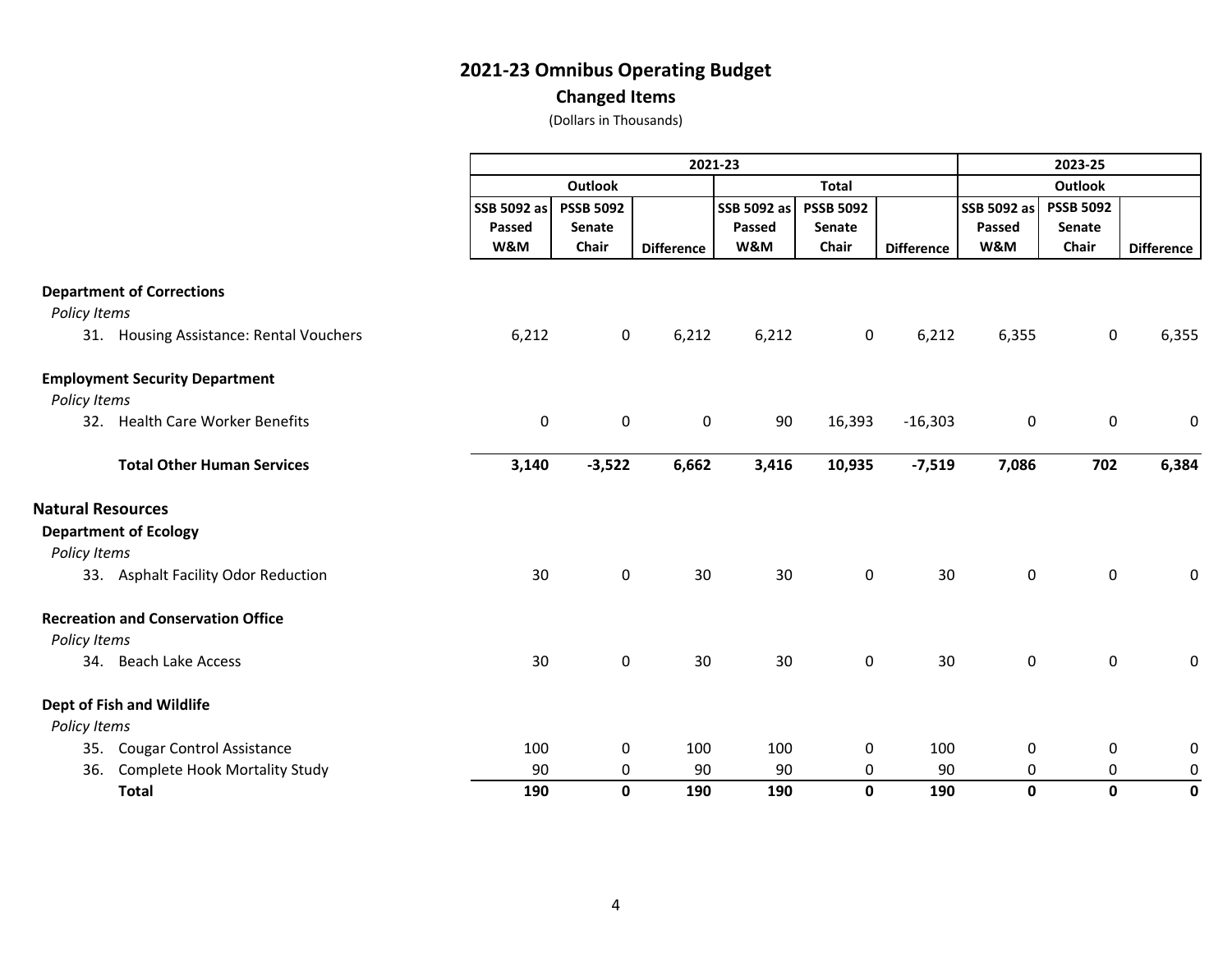#### **Changed Items**

| Policy Items             |                                           |                       |                            |                   | 2021-23               |                                   |                   |                       | 2023-25                    |                   |  |
|--------------------------|-------------------------------------------|-----------------------|----------------------------|-------------------|-----------------------|-----------------------------------|-------------------|-----------------------|----------------------------|-------------------|--|
|                          |                                           |                       |                            |                   |                       |                                   |                   |                       |                            |                   |  |
|                          |                                           |                       | <b>Outlook</b>             |                   |                       | <b>Total</b>                      |                   | <b>Outlook</b>        |                            |                   |  |
|                          |                                           | SSB 5092 as<br>Passed | <b>PSSB 5092</b><br>Senate |                   | SSB 5092 as<br>Passed | <b>PSSB 5092</b><br><b>Senate</b> |                   | SSB 5092 as<br>Passed | <b>PSSB 5092</b><br>Senate |                   |  |
|                          |                                           | W&M                   | Chair                      | <b>Difference</b> | W&M                   | Chair                             | <b>Difference</b> | W&M                   | Chair                      | <b>Difference</b> |  |
|                          | <b>Department of Corrections</b>          |                       |                            |                   |                       |                                   |                   |                       |                            |                   |  |
|                          |                                           |                       |                            |                   |                       |                                   |                   |                       |                            |                   |  |
|                          | 31. Housing Assistance: Rental Vouchers   | 6,212                 | $\mathbf 0$                | 6,212             | 6,212                 | $\mathbf 0$                       | 6,212             | 6,355                 | $\mathsf{O}$               | 6,355             |  |
|                          | <b>Employment Security Department</b>     |                       |                            |                   |                       |                                   |                   |                       |                            |                   |  |
| Policy Items             | 32. Health Care Worker Benefits           | $\mathsf 0$           | $\mathbf 0$                | $\pmb{0}$         | 90                    | 16,393                            | $-16,303$         | $\pmb{0}$             | $\pmb{0}$                  | 0                 |  |
|                          | <b>Total Other Human Services</b>         | 3,140                 | $-3,522$                   | 6,662             | 3,416                 | 10,935                            | $-7,519$          | 7,086                 | 702                        | 6,384             |  |
| <b>Natural Resources</b> |                                           |                       |                            |                   |                       |                                   |                   |                       |                            |                   |  |
| Policy Items             | <b>Department of Ecology</b>              |                       |                            |                   |                       |                                   |                   |                       |                            |                   |  |
|                          | 33. Asphalt Facility Odor Reduction       | 30                    | $\mathbf 0$                | 30                | 30                    | $\mathbf 0$                       | 30                | $\mathbf 0$           | $\mathbf 0$                | 0                 |  |
|                          | <b>Recreation and Conservation Office</b> |                       |                            |                   |                       |                                   |                   |                       |                            |                   |  |
| Policy Items             |                                           |                       |                            |                   |                       |                                   |                   |                       |                            |                   |  |
|                          | 34. Beach Lake Access                     | 30                    | $\mathbf 0$                | 30                | 30                    | $\mathbf 0$                       | 30                | $\mathbf 0$           | $\mathsf 0$                | 0                 |  |
|                          | <b>Dept of Fish and Wildlife</b>          |                       |                            |                   |                       |                                   |                   |                       |                            |                   |  |
| Policy Items             |                                           |                       |                            |                   |                       |                                   |                   |                       |                            |                   |  |
| 35.                      | <b>Cougar Control Assistance</b>          | 100                   | 0                          | 100               | 100                   | 0                                 | 100               | 0                     | 0                          | 0                 |  |
| 36.                      | <b>Complete Hook Mortality Study</b>      | 90                    | 0                          | 90                | 90                    | 0                                 | 90                | 0                     | 0                          | $\pmb{0}$         |  |
|                          | <b>Total</b>                              | 190                   | $\mathbf{0}$               | 190               | 190                   | $\mathbf{0}$                      | 190               | 0                     | 0                          | 0                 |  |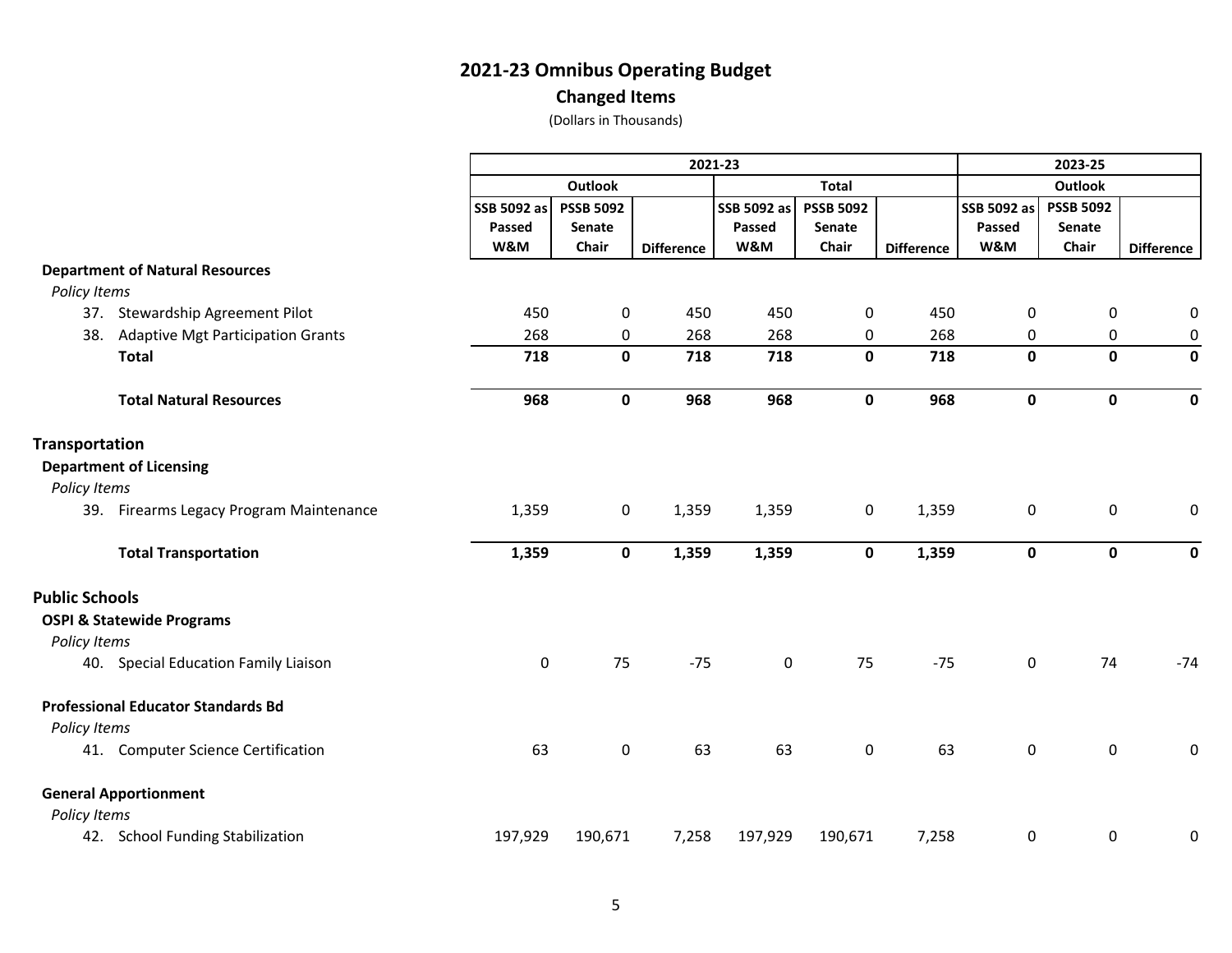#### **Changed Items**

|                       |                                           |             |                  | 2023-25           |               |                  |                   |                |                  |                   |  |
|-----------------------|-------------------------------------------|-------------|------------------|-------------------|---------------|------------------|-------------------|----------------|------------------|-------------------|--|
|                       |                                           |             | Outlook          |                   |               | <b>Total</b>     |                   | <b>Outlook</b> |                  |                   |  |
|                       |                                           | SSB 5092 as | <b>PSSB 5092</b> |                   | SSB 5092 as   | <b>PSSB 5092</b> |                   | SSB 5092 as    | <b>PSSB 5092</b> |                   |  |
|                       |                                           | Passed      | Senate           |                   | <b>Passed</b> | <b>Senate</b>    |                   | Passed         | Senate           |                   |  |
|                       |                                           | W&M         | Chair            | <b>Difference</b> | W&M           | Chair            | <b>Difference</b> | W&M            | Chair            | <b>Difference</b> |  |
|                       | <b>Department of Natural Resources</b>    |             |                  |                   |               |                  |                   |                |                  |                   |  |
| Policy Items          |                                           |             |                  |                   |               |                  |                   |                |                  |                   |  |
|                       | 37. Stewardship Agreement Pilot           | 450         | 0                | 450               | 450           | 0                | 450               | $\mathbf 0$    | 0                | $\mathbf 0$       |  |
| 38.                   | <b>Adaptive Mgt Participation Grants</b>  | 268         | 0                | 268               | 268           | 0                | 268               | 0              | 0                | $\mathbf 0$       |  |
|                       | <b>Total</b>                              | 718         | 0                | 718               | 718           | $\mathbf 0$      | 718               | $\mathbf 0$    | 0                | $\mathbf 0$       |  |
|                       | <b>Total Natural Resources</b>            | 968         | 0                | 968               | 968           | $\pmb{0}$        | 968               | $\mathbf 0$    | $\mathbf 0$      | 0                 |  |
| <b>Transportation</b> |                                           |             |                  |                   |               |                  |                   |                |                  |                   |  |
|                       | <b>Department of Licensing</b>            |             |                  |                   |               |                  |                   |                |                  |                   |  |
| Policy Items          |                                           |             |                  |                   |               |                  |                   |                |                  |                   |  |
|                       | 39. Firearms Legacy Program Maintenance   | 1,359       | 0                | 1,359             | 1,359         | $\mathbf 0$      | 1,359             | 0              | 0                | 0                 |  |
|                       | <b>Total Transportation</b>               | 1,359       | $\mathbf 0$      | 1,359             | 1,359         | $\mathbf 0$      | 1,359             | $\mathbf 0$    | $\mathbf{0}$     | $\mathbf 0$       |  |
| <b>Public Schools</b> |                                           |             |                  |                   |               |                  |                   |                |                  |                   |  |
| Policy Items          | <b>OSPI &amp; Statewide Programs</b>      |             |                  |                   |               |                  |                   |                |                  |                   |  |
|                       | 40. Special Education Family Liaison      | 0           | 75               | $-75$             | $\mathbf 0$   | 75               | $-75$             | $\mathbf 0$    | 74               | $-74$             |  |
|                       | <b>Professional Educator Standards Bd</b> |             |                  |                   |               |                  |                   |                |                  |                   |  |
| Policy Items          |                                           |             |                  |                   |               |                  |                   |                |                  |                   |  |
|                       | 41. Computer Science Certification        | 63          | $\mathbf 0$      | 63                | 63            | $\pmb{0}$        | 63                | $\pmb{0}$      | 0                | $\pmb{0}$         |  |
|                       | <b>General Apportionment</b>              |             |                  |                   |               |                  |                   |                |                  |                   |  |
| Policy Items          |                                           |             |                  |                   |               |                  |                   |                |                  |                   |  |
|                       | 42. School Funding Stabilization          | 197,929     | 190,671          | 7,258             | 197,929       | 190,671          | 7,258             | $\mathbf 0$    | 0                | 0                 |  |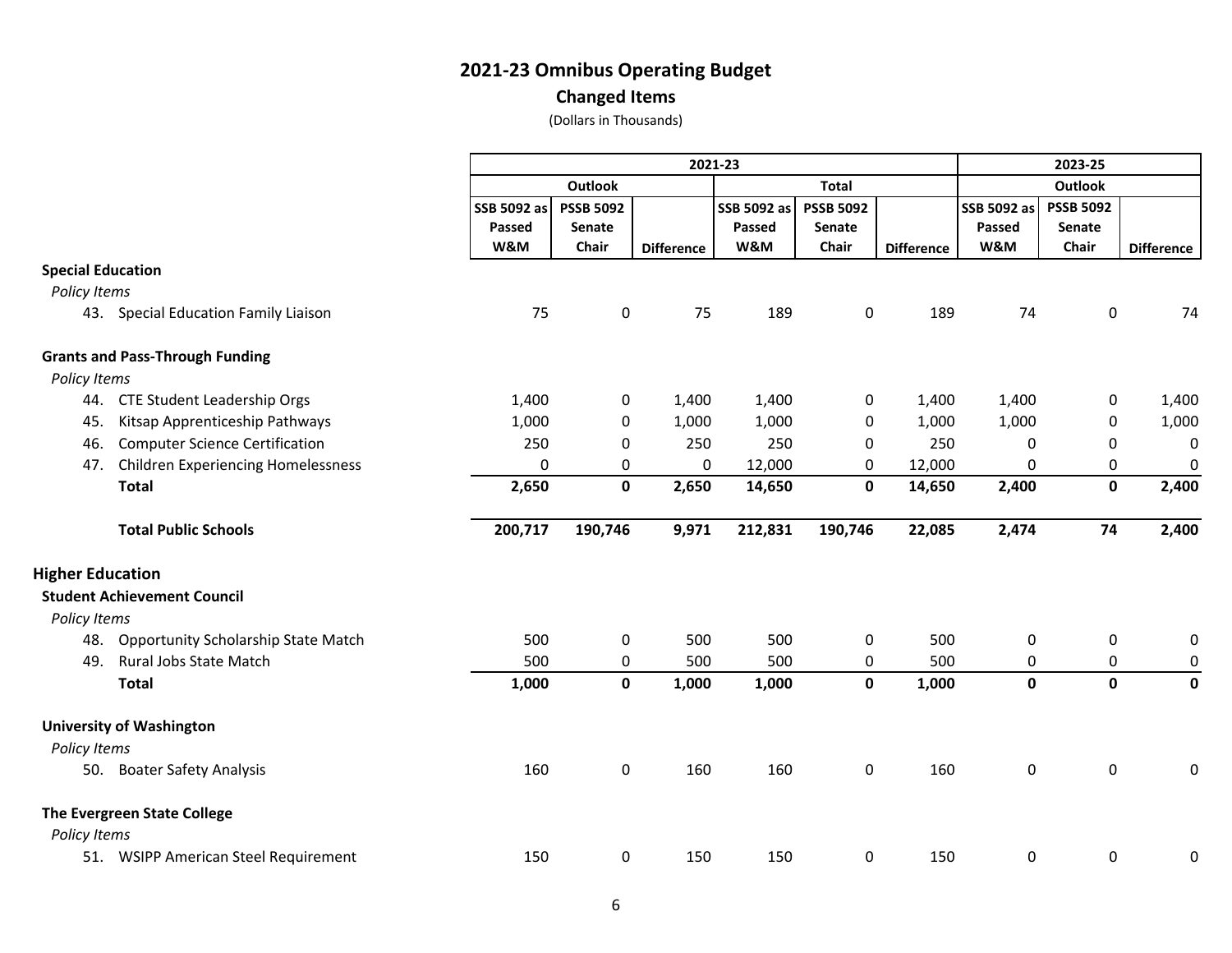**Changed Items**

|                          |                                            | 2021-23                      |                                     |                   |                              |                                            |                   |                                     | 2023-25                             |                   |  |  |
|--------------------------|--------------------------------------------|------------------------------|-------------------------------------|-------------------|------------------------------|--------------------------------------------|-------------------|-------------------------------------|-------------------------------------|-------------------|--|--|
|                          |                                            |                              | <b>Outlook</b>                      |                   |                              | <b>Total</b>                               |                   |                                     |                                     |                   |  |  |
|                          |                                            | SSB 5092 as<br>Passed<br>W&M | <b>PSSB 5092</b><br>Senate<br>Chair | <b>Difference</b> | SSB 5092 as<br>Passed<br>W&M | <b>PSSB 5092</b><br><b>Senate</b><br>Chair | <b>Difference</b> | <b>SSB 5092 as</b><br>Passed<br>W&M | <b>PSSB 5092</b><br>Senate<br>Chair | <b>Difference</b> |  |  |
| <b>Special Education</b> |                                            |                              |                                     |                   |                              |                                            |                   |                                     |                                     |                   |  |  |
| Policy Items             |                                            |                              |                                     |                   |                              |                                            |                   |                                     |                                     |                   |  |  |
|                          | 43. Special Education Family Liaison       | 75                           | 0                                   | 75                | 189                          | 0                                          | 189               | 74                                  | $\mathbf 0$                         | 74                |  |  |
|                          | <b>Grants and Pass-Through Funding</b>     |                              |                                     |                   |                              |                                            |                   |                                     |                                     |                   |  |  |
| Policy Items             |                                            |                              |                                     |                   |                              |                                            |                   |                                     |                                     |                   |  |  |
| 44.                      | <b>CTE Student Leadership Orgs</b>         | 1,400                        | 0                                   | 1,400             | 1,400                        | $\pmb{0}$                                  | 1,400             | 1,400                               | 0                                   | 1,400             |  |  |
| 45.                      | Kitsap Apprenticeship Pathways             | 1,000                        | 0                                   | 1,000             | 1,000                        | 0                                          | 1,000             | 1,000                               | 0                                   | 1,000             |  |  |
| 46.                      | <b>Computer Science Certification</b>      | 250                          | $\mathbf{0}$                        | 250               | 250                          | 0                                          | 250               | 0                                   | 0                                   | $\mathbf 0$       |  |  |
| 47.                      | <b>Children Experiencing Homelessness</b>  | 0                            | 0                                   | 0                 | 12,000                       | 0                                          | 12,000            | 0                                   | 0                                   | $\mathbf 0$       |  |  |
|                          | <b>Total</b>                               | 2,650                        | $\mathbf 0$                         | 2,650             | 14,650                       | $\mathbf 0$                                | 14,650            | 2,400                               | $\mathbf{0}$                        | 2,400             |  |  |
|                          | <b>Total Public Schools</b>                | 200,717                      | 190,746                             | 9,971             | 212,831                      | 190,746                                    | 22,085            | 2,474                               | 74                                  | 2,400             |  |  |
| <b>Higher Education</b>  |                                            |                              |                                     |                   |                              |                                            |                   |                                     |                                     |                   |  |  |
|                          | <b>Student Achievement Council</b>         |                              |                                     |                   |                              |                                            |                   |                                     |                                     |                   |  |  |
| Policy Items             |                                            |                              |                                     |                   |                              |                                            |                   |                                     |                                     |                   |  |  |
| 48.                      | <b>Opportunity Scholarship State Match</b> | 500                          | 0                                   | 500               | 500                          | $\pmb{0}$                                  | 500               | 0                                   | 0                                   | 0                 |  |  |
| 49.                      | Rural Jobs State Match                     | 500                          | 0                                   | 500               | 500                          | 0                                          | 500               | 0                                   | 0                                   | $\mathbf 0$       |  |  |
|                          | <b>Total</b>                               | 1,000                        | 0                                   | 1,000             | 1,000                        | $\mathbf 0$                                | 1,000             | $\mathbf 0$                         | $\mathbf 0$                         | $\mathbf 0$       |  |  |
|                          | <b>University of Washington</b>            |                              |                                     |                   |                              |                                            |                   |                                     |                                     |                   |  |  |
| Policy Items             |                                            |                              |                                     |                   |                              |                                            |                   |                                     |                                     |                   |  |  |
| 50.                      | <b>Boater Safety Analysis</b>              | 160                          | 0                                   | 160               | 160                          | $\pmb{0}$                                  | 160               | 0                                   | 0                                   |                   |  |  |
|                          | The Evergreen State College                |                              |                                     |                   |                              |                                            |                   |                                     |                                     |                   |  |  |
| Policy Items             |                                            |                              |                                     |                   |                              |                                            |                   |                                     |                                     |                   |  |  |
|                          | 51. WSIPP American Steel Requirement       | 150                          | 0                                   | 150               | 150                          | 0                                          | 150               | 0                                   | 0                                   | $\Omega$          |  |  |